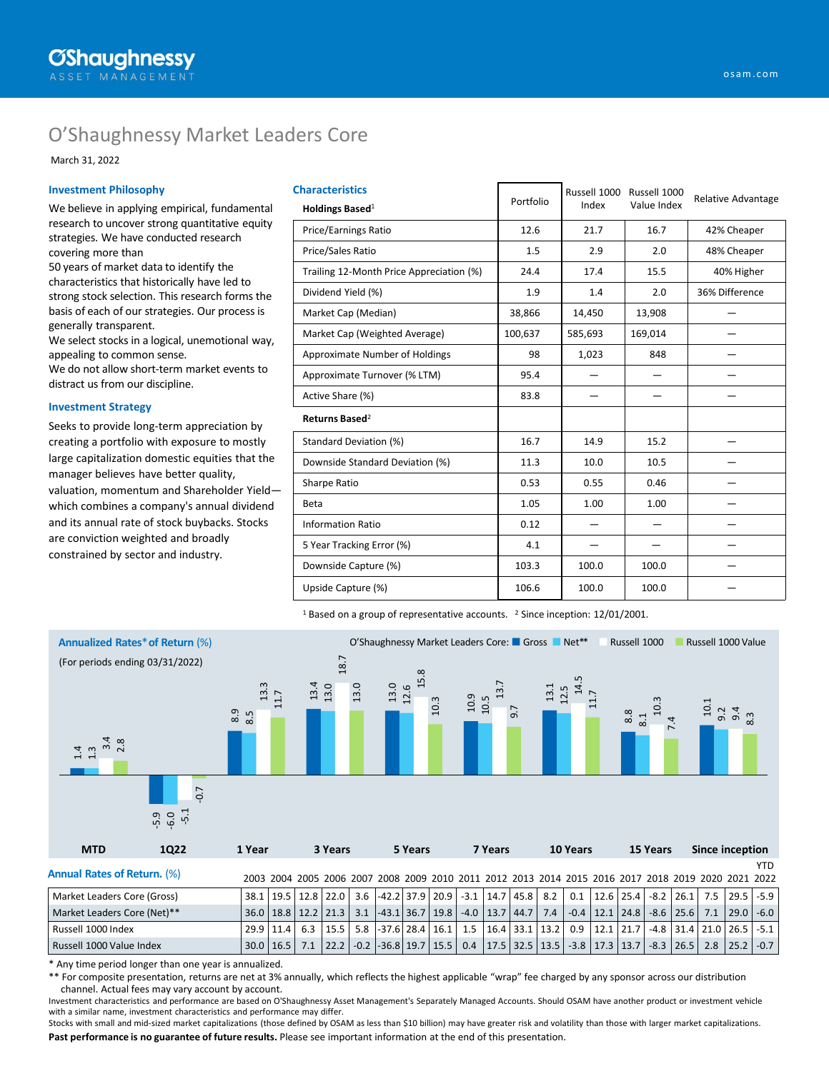# O'Shaughnessy Market Leaders Core

March 31, 2022

#### **Investment Philosophy**

We believe in applying empirical, fundamental research to uncover strong quantitative equity strategies. We have conducted research covering more than

50 years of market data to identify the characteristics that historically have led to strong stock selection. This research forms the basis of each of our strategies. Our process is generally transparent.

We select stocks in a logical, unemotional way, appealing to common sense.

We do not allow short-term market events to distract us from our discipline.

#### **Investment Strategy**

Seeks to provide long-term appreciation by creating a portfolio with exposure to mostly large capitalization domestic equities that the manager believes have better quality, valuation, momentum and Shareholder Yield which combines a company's annual dividend and its annual rate of stock buybacks. Stocks are conviction weighted and broadly constrained by sector and industry.

| <b>Characteristics</b><br>Holdings Based <sup>1</sup> | Portfolio | Russell 1000<br>Index | Russell 1000<br>Value Index | <b>Relative Advantage</b> |  |
|-------------------------------------------------------|-----------|-----------------------|-----------------------------|---------------------------|--|
| <b>Price/Earnings Ratio</b>                           | 12.6      | 21.7                  | 16.7                        | 42% Cheaper               |  |
| Price/Sales Ratio                                     | 1.5       | 2.9                   | 2.0                         | 48% Cheaper               |  |
| Trailing 12-Month Price Appreciation (%)              | 24.4      | 17.4                  | 15.5                        | 40% Higher                |  |
| Dividend Yield (%)                                    | 1.9       | 1.4                   | 2.0                         | 36% Difference            |  |
| Market Cap (Median)                                   | 38,866    | 14,450                | 13,908                      |                           |  |
| Market Cap (Weighted Average)                         | 100,637   | 585,693               | 169,014                     |                           |  |
| Approximate Number of Holdings                        | 98        | 1,023                 | 848                         |                           |  |
| Approximate Turnover (% LTM)                          | 95.4      |                       |                             |                           |  |
| Active Share (%)                                      | 83.8      |                       |                             |                           |  |
| Returns Based <sup>2</sup>                            |           |                       |                             |                           |  |
| Standard Deviation (%)                                | 16.7      | 14.9                  | 15.2                        |                           |  |
| Downside Standard Deviation (%)                       | 11.3      | 10.0                  | 10.5                        |                           |  |
| Sharpe Ratio                                          | 0.53      | 0.55                  | 0.46                        |                           |  |
| Beta                                                  | 1.05      | 1.00                  | 1.00                        |                           |  |
| <b>Information Ratio</b>                              | 0.12      |                       |                             |                           |  |
| 5 Year Tracking Error (%)                             | 4.1       |                       |                             |                           |  |
| Downside Capture (%)                                  | 103.3     | 100.0                 | 100.0                       |                           |  |
| Upside Capture (%)                                    | 106.6     | 100.0                 | 100.0                       |                           |  |

<sup>1</sup> Based on a group of representative accounts. <sup>2</sup> Since inception: 12/01/2001.



\* Any time period longer than one year is annualized.

\*\* For composite presentation, returns are net at 3% annually, which reflects the highest applicable "wrap" fee charged by any sponsor across our distribution channel. Actual fees may vary account by account.

Investment characteristics and performance are based on O'Shaughnessy Asset Management's Separately Managed Accounts. Should OSAM have another product or investment vehicle with a similar name, investment characteristics and performance may differ.

**Past performance is no guarantee of future results.** Please see important information at the end of this presentation. Stocks with small and mid-sized market capitalizations (those defined by OSAM as less than \$10 billion) may have greater risk and volatility than those with larger market capitalizations.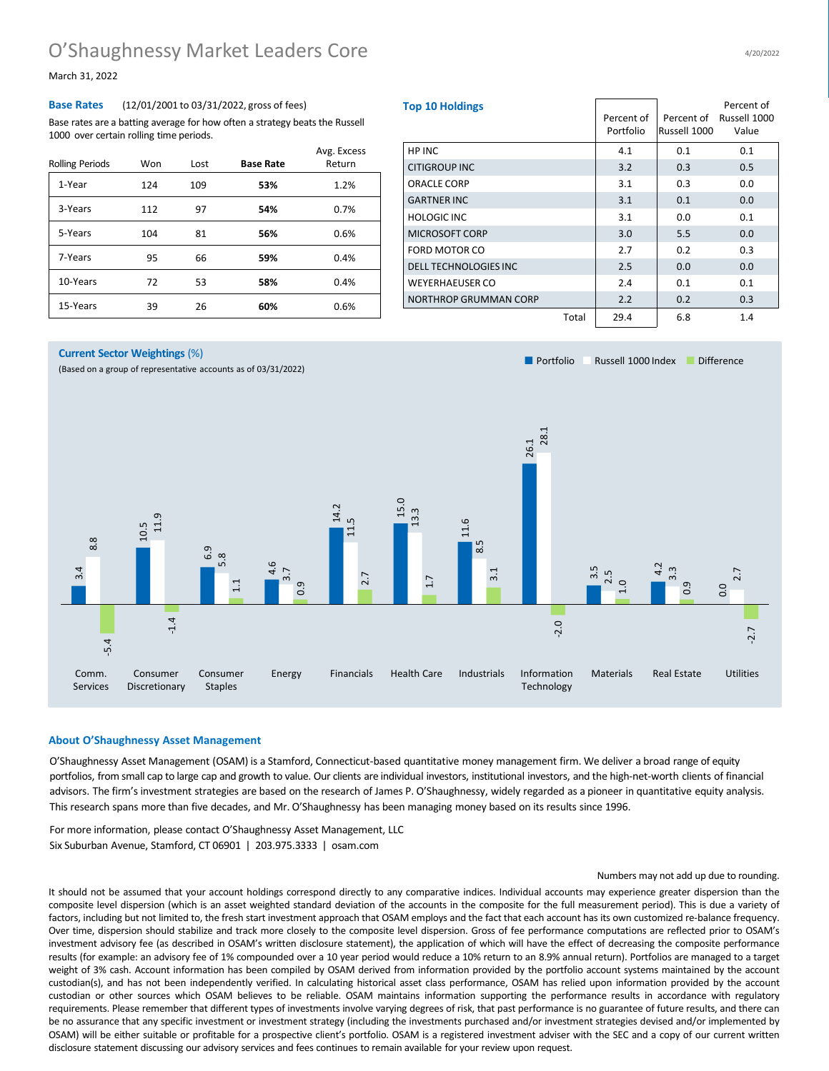## O'Shaughnessy Market Leaders Core

March 31, 2022

#### **Base Rates** (12/01/2001 to 03/31/2022, gross of fees)

Base rates are a batting average for how often a strategy beats the Russell 1000 over certain rolling time periods.

| <b>Rolling Periods</b> | Won | Lost | <b>Base Rate</b> | Avg. Excess<br>Return |
|------------------------|-----|------|------------------|-----------------------|
| 1-Year                 | 124 | 109  | 53%              | 1.2%                  |
| 3-Years                | 112 | 97   | 54%              | 0.7%                  |
| 5-Years                | 104 | 81   | 56%              | 0.6%                  |
| 7-Years                | 95  | 66   | 59%              | 0.4%                  |
| 10-Years               | 72  | 53   | 58%              | 0.4%                  |
| 15-Years               | 39  | 26   | 60%              | 0.6%                  |

| <b>Top 10 Holdings</b>       |       | Percent of<br>Portfolio | Percent of<br>Russell 1000 | Percent of<br>Russell 1000<br>Value |
|------------------------------|-------|-------------------------|----------------------------|-------------------------------------|
| HP INC                       |       | 4.1                     | 0.1                        | 0.1                                 |
| <b>CITIGROUP INC</b>         |       | 3.2                     | 0.3                        | 0.5                                 |
| ORACLE CORP                  |       | 3.1                     | 0.3                        | 0.0                                 |
| <b>GARTNER INC</b>           |       | 3.1                     | 0.1                        | 0.0                                 |
| <b>HOLOGIC INC</b>           |       | 3.1                     | 0.0                        | 0.1                                 |
| <b>MICROSOFT CORP</b>        |       | 3.0                     | 5.5                        | 0.0                                 |
| <b>FORD MOTOR CO</b>         |       | 2.7                     | 0.2                        | 0.3                                 |
| <b>DELL TECHNOLOGIES INC</b> |       | 2.5                     | 0.0                        | 0.0                                 |
| <b>WEYERHAEUSER CO</b>       |       | 2.4                     | 0.1                        | 0.1                                 |
| NORTHROP GRUMMAN CORP        |       | 2.2                     | 0.2                        | 0.3                                 |
|                              | Total | 29.4                    | 6.8                        | 1.4                                 |

■ Portfolio Bussell 1000 Index ■ Difference

#### **Current Sector Weightings** (%)

(Based on a group of representative accounts as of 03/31/2022)



### **About O'Shaughnessy Asset Management**

O'Shaughnessy Asset Management (OSAM) is a Stamford, Connecticut-based quantitative money management firm. We deliver a broad range of equity portfolios, from small cap to large cap and growth to value. Our clients are individual investors, institutional investors, and the high-net-worth clients of financial advisors. The firm's investment strategies are based on the research of James P. O'Shaughnessy, widely regarded as a pioneer in quantitative equity analysis. This research spans more than five decades, and Mr. O'Shaughnessy has been managing money based on its results since 1996.

For more information, please contact O'Shaughnessy Asset Management, LLC Six Suburban Avenue, Stamford, CT 06901 | 203.975.3333 | osam.com

#### Numbers may not add up due to rounding.

It should not be assumed that your account holdings correspond directly to any comparative indices. Individual accounts may experience greater dispersion than the composite level dispersion (which is an asset weighted standard deviation of the accounts in the composite for the full measurement period). This is due a variety of factors, including but not limited to, the fresh start investment approach that OSAM employs and the fact that each account has its own customized re-balance frequency. Over time, dispersion should stabilize and track more closely to the composite level dispersion. Gross of fee performance computations are reflected prior to OSAM's investment advisory fee (as described in OSAM's written disclosure statement), the application of which will have the effect of decreasing the composite performance results (for example: an advisory fee of 1% compounded over a 10 year period would reduce a 10% return to an 8.9% annual return). Portfolios are managed to a target weight of 3% cash. Account information has been compiled by OSAM derived from information provided by the portfolio account systems maintained by the account custodian(s), and has not been independently verified. In calculating historical asset class performance, OSAM has relied upon information provided by the account custodian or other sources which OSAM believes to be reliable. OSAM maintains information supporting the performance results in accordance with regulatory requirements. Please remember that different types of investments involve varying degrees of risk, that past performance is no guarantee of future results, and there can be no assurance that any specific investment or investment strategy (including the investments purchased and/or investment strategies devised and/or implemented by OSAM) will be either suitable or profitable for a prospective client's portfolio. OSAM is a registered investment adviser with the SEC and a copy of our current written disclosure statement discussing our advisory services and fees continues to remain available for your review upon request.